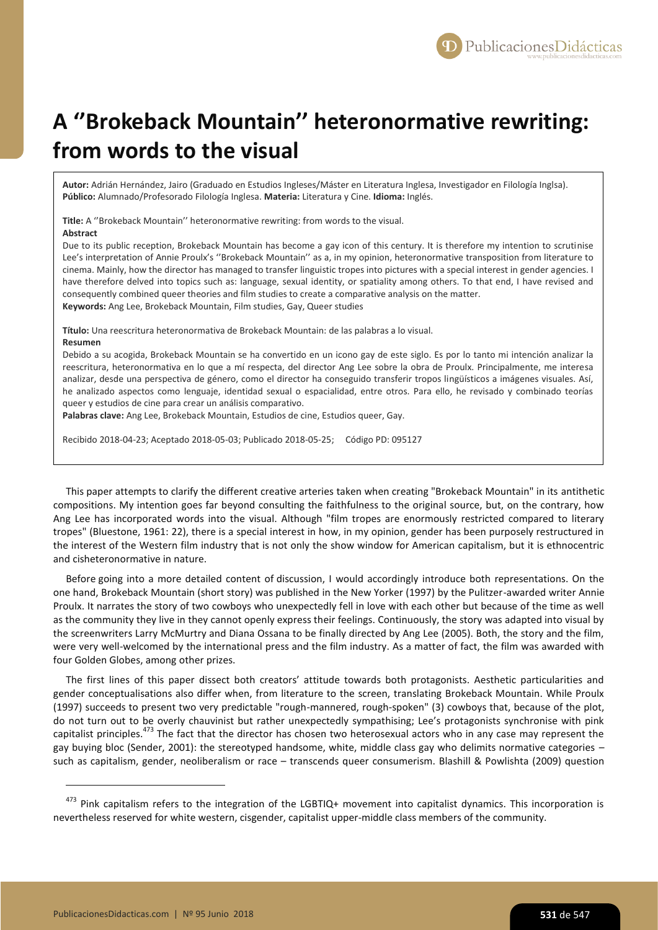## **A ''Brokeback Mountain'' heteronormative rewriting: from words to the visual**

**Autor:** Adrián Hernández, Jairo (Graduado en Estudios Ingleses/Máster en Literatura Inglesa, Investigador en Filología Inglsa). **Público:** Alumnado/Profesorado Filología Inglesa. **Materia:** Literatura y Cine. **Idioma:** Inglés.

**Title:** A ''Brokeback Mountain'' heteronormative rewriting: from words to the visual. **Abstract**

Due to its public reception, Brokeback Mountain has become a gay icon of this century. It is therefore my intention to scrutinise Lee's interpretation of Annie Proulx's ''Brokeback Mountain'' as a, in my opinion, heteronormative transposition from literature to cinema. Mainly, how the director has managed to transfer linguistic tropes into pictures with a special interest in gender agencies. I have therefore delved into topics such as: language, sexual identity, or spatiality among others. To that end, I have revised and consequently combined queer theories and film studies to create a comparative analysis on the matter. **Keywords:** Ang Lee, Brokeback Mountain, Film studies, Gay, Queer studies

**Título:** Una reescritura heteronormativa de Brokeback Mountain: de las palabras a lo visual.

## **Resumen**

1

Debido a su acogida, Brokeback Mountain se ha convertido en un icono gay de este siglo. Es por lo tanto mi intención analizar la reescritura, heteronormativa en lo que a mí respecta, del director Ang Lee sobre la obra de Proulx. Principalmente, me interesa analizar, desde una perspectiva de género, como el director ha conseguido transferir tropos lingüísticos a imágenes visuales. Así, he analizado aspectos como lenguaje, identidad sexual o espacialidad, entre otros. Para ello, he revisado y combinado teorías queer y estudios de cine para crear un análisis comparativo.

**Palabras clave:** Ang Lee, Brokeback Mountain, Estudios de cine, Estudios queer, Gay.

Recibido 2018-04-23; Aceptado 2018-05-03; Publicado 2018-05-25; Código PD: 095127

This paper attempts to clarify the different creative arteries taken when creating "Brokeback Mountain" in its antithetic compositions. My intention goes far beyond consulting the faithfulness to the original source, but, on the contrary, how Ang Lee has incorporated words into the visual. Although "film tropes are enormously restricted compared to literary tropes" (Bluestone, 1961: 22), there is a special interest in how, in my opinion, gender has been purposely restructured in the interest of the Western film industry that is not only the show window for American capitalism, but it is ethnocentric and cisheteronormative in nature.

Before going into a more detailed content of discussion, I would accordingly introduce both representations. On the one hand, Brokeback Mountain (short story) was published in the New Yorker (1997) by the Pulitzer-awarded writer Annie Proulx. It narrates the story of two cowboys who unexpectedly fell in love with each other but because of the time as well as the community they live in they cannot openly express their feelings. Continuously, the story was adapted into visual by the screenwriters Larry McMurtry and Diana Ossana to be finally directed by Ang Lee (2005). Both, the story and the film, were very well-welcomed by the international press and the film industry. As a matter of fact, the film was awarded with four Golden Globes, among other prizes.

The first lines of this paper dissect both creators' attitude towards both protagonists. Aesthetic particularities and gender conceptualisations also differ when, from literature to the screen, translating Brokeback Mountain. While Proulx (1997) succeeds to present two very predictable "rough-mannered, rough-spoken" (3) cowboys that, because of the plot, do not turn out to be overly chauvinist but rather unexpectedly sympathising; Lee's protagonists synchronise with pink capitalist principles.<sup>473</sup> The fact that the director has chosen two heterosexual actors who in any case may represent the gay buying bloc (Sender, 2001): the stereotyped handsome, white, middle class gay who delimits normative categories – such as capitalism, gender, neoliberalism or race – transcends queer consumerism. Blashill & Powlishta (2009) question

 $473$  Pink capitalism refers to the integration of the LGBTIQ+ movement into capitalist dynamics. This incorporation is nevertheless reserved for white western, cisgender, capitalist upper-middle class members of the community.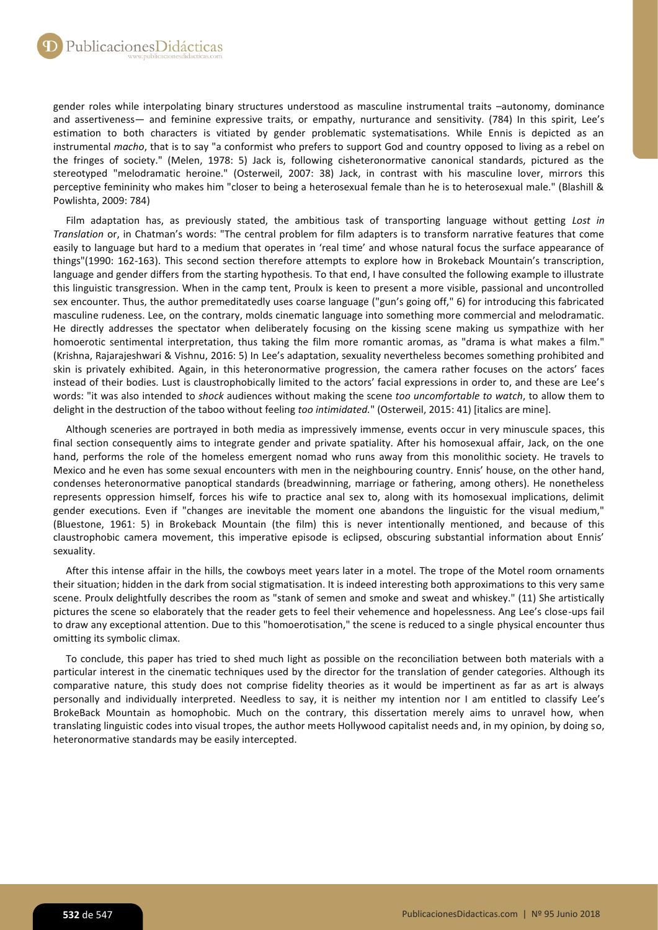gender roles while interpolating binary structures understood as masculine instrumental traits –autonomy, dominance and assertiveness— and feminine expressive traits, or empathy, nurturance and sensitivity. (784) In this spirit, Lee's estimation to both characters is vitiated by gender problematic systematisations. While Ennis is depicted as an instrumental *macho*, that is to say "a conformist who prefers to support God and country opposed to living as a rebel on the fringes of society." (Melen, 1978: 5) Jack is, following cisheteronormative canonical standards, pictured as the stereotyped "melodramatic heroine." (Osterweil, 2007: 38) Jack, in contrast with his masculine lover, mirrors this perceptive femininity who makes him "closer to being a heterosexual female than he is to heterosexual male." (Blashill & Powlishta, 2009: 784)

Film adaptation has, as previously stated, the ambitious task of transporting language without getting *Lost in Translation* or, in Chatman's words: "The central problem for film adapters is to transform narrative features that come easily to language but hard to a medium that operates in 'real time' and whose natural focus the surface appearance of things"(1990: 162-163). This second section therefore attempts to explore how in Brokeback Mountain's transcription, language and gender differs from the starting hypothesis. To that end, I have consulted the following example to illustrate this linguistic transgression. When in the camp tent, Proulx is keen to present a more visible, passional and uncontrolled sex encounter. Thus, the author premeditatedly uses coarse language ("gun's going off," 6) for introducing this fabricated masculine rudeness. Lee, on the contrary, molds cinematic language into something more commercial and melodramatic. He directly addresses the spectator when deliberately focusing on the kissing scene making us sympathize with her homoerotic sentimental interpretation, thus taking the film more romantic aromas, as "drama is what makes a film." (Krishna, Rajarajeshwari & Vishnu, 2016: 5) In Lee's adaptation, sexuality nevertheless becomes something prohibited and skin is privately exhibited. Again, in this heteronormative progression, the camera rather focuses on the actors' faces instead of their bodies. Lust is claustrophobically limited to the actors' facial expressions in order to, and these are Lee's words: "it was also intended to *shock* audiences without making the scene *too uncomfortable to watch*, to allow them to delight in the destruction of the taboo without feeling *too intimidated.*" (Osterweil, 2015: 41) [italics are mine].

Although sceneries are portrayed in both media as impressively immense, events occur in very minuscule spaces, this final section consequently aims to integrate gender and private spatiality. After his homosexual affair, Jack, on the one hand, performs the role of the homeless emergent nomad who runs away from this monolithic society. He travels to Mexico and he even has some sexual encounters with men in the neighbouring country. Ennis' house, on the other hand, condenses heteronormative panoptical standards (breadwinning, marriage or fathering, among others). He nonetheless represents oppression himself, forces his wife to practice anal sex to, along with its homosexual implications, delimit gender executions. Even if "changes are inevitable the moment one abandons the linguistic for the visual medium," (Bluestone, 1961: 5) in Brokeback Mountain (the film) this is never intentionally mentioned, and because of this claustrophobic camera movement, this imperative episode is eclipsed, obscuring substantial information about Ennis' sexuality.

After this intense affair in the hills, the cowboys meet years later in a motel. The trope of the Motel room ornaments their situation; hidden in the dark from social stigmatisation. It is indeed interesting both approximations to this very same scene. Proulx delightfully describes the room as "stank of semen and smoke and sweat and whiskey." (11) She artistically pictures the scene so elaborately that the reader gets to feel their vehemence and hopelessness. Ang Lee's close-ups fail to draw any exceptional attention. Due to this "homoerotisation," the scene is reduced to a single physical encounter thus omitting its symbolic climax.

To conclude, this paper has tried to shed much light as possible on the reconciliation between both materials with a particular interest in the cinematic techniques used by the director for the translation of gender categories. Although its comparative nature, this study does not comprise fidelity theories as it would be impertinent as far as art is always personally and individually interpreted. Needless to say, it is neither my intention nor I am entitled to classify Lee's BrokeBack Mountain as homophobic. Much on the contrary, this dissertation merely aims to unravel how, when translating linguistic codes into visual tropes, the author meets Hollywood capitalist needs and, in my opinion, by doing so, heteronormative standards may be easily intercepted.